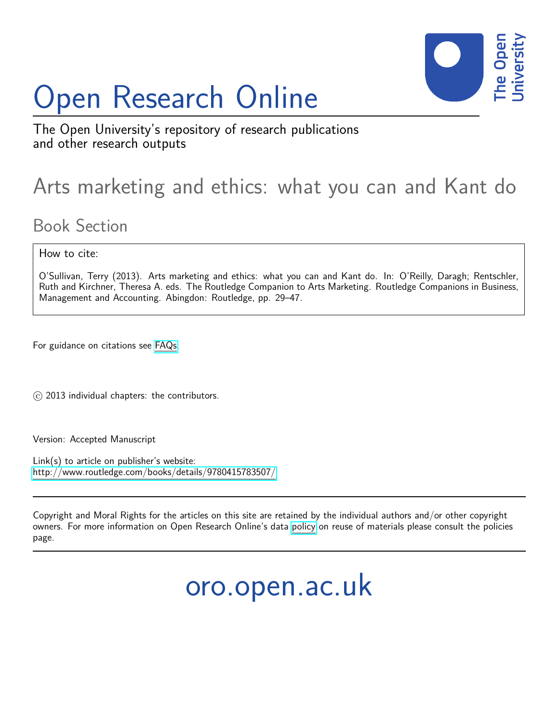# Open Research Online



The Open University's repository of research publications and other research outputs

## Arts marketing and ethics: what you can and Kant do

### Book Section

How to cite:

O'Sullivan, Terry (2013). Arts marketing and ethics: what you can and Kant do. In: O'Reilly, Daragh; Rentschler, Ruth and Kirchner, Theresa A. eds. The Routledge Companion to Arts Marketing. Routledge Companions in Business, Management and Accounting. Abingdon: Routledge, pp. 29–47.

For guidance on citations see [FAQs.](http://oro.open.ac.uk/help/helpfaq.html)

(c) 2013 individual chapters: the contributors.

Version: Accepted Manuscript

Link(s) to article on publisher's website: <http://www.routledge.com/books/details/9780415783507/>

Copyright and Moral Rights for the articles on this site are retained by the individual authors and/or other copyright owners. For more information on Open Research Online's data [policy](http://oro.open.ac.uk/policies.html) on reuse of materials please consult the policies page.

## oro.open.ac.uk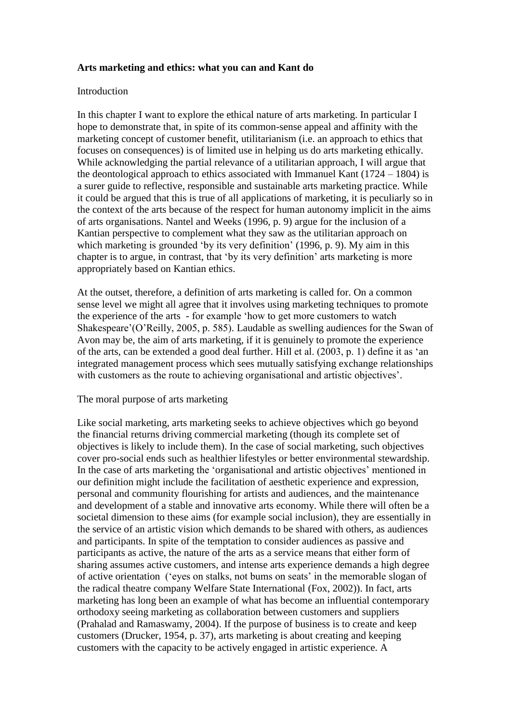#### **Arts marketing and ethics: what you can and Kant do**

#### Introduction

In this chapter I want to explore the ethical nature of arts marketing. In particular I hope to demonstrate that, in spite of its common-sense appeal and affinity with the marketing concept of customer benefit, utilitarianism (i.e. an approach to ethics that focuses on consequences) is of limited use in helping us do arts marketing ethically. While acknowledging the partial relevance of a utilitarian approach, I will argue that the deontological approach to ethics associated with Immanuel Kant  $(1724 - 1804)$  is a surer guide to reflective, responsible and sustainable arts marketing practice. While it could be argued that this is true of all applications of marketing, it is peculiarly so in the context of the arts because of the respect for human autonomy implicit in the aims of arts organisations. Nantel and Weeks (1996, p. 9) argue for the inclusion of a Kantian perspective to complement what they saw as the utilitarian approach on which marketing is grounded 'by its very definition' (1996, p. 9). My aim in this chapter is to argue, in contrast, that 'by its very definition' arts marketing is more appropriately based on Kantian ethics.

At the outset, therefore, a definition of arts marketing is called for. On a common sense level we might all agree that it involves using marketing techniques to promote the experience of the arts - for example 'how to get more customers to watch Shakespeare'(O'Reilly, 2005, p. 585). Laudable as swelling audiences for the Swan of Avon may be, the aim of arts marketing, if it is genuinely to promote the experience of the arts, can be extended a good deal further. Hill et al. (2003, p. 1) define it as 'an integrated management process which sees mutually satisfying exchange relationships with customers as the route to achieving organisational and artistic objectives'.

#### The moral purpose of arts marketing

Like social marketing, arts marketing seeks to achieve objectives which go beyond the financial returns driving commercial marketing (though its complete set of objectives is likely to include them). In the case of social marketing, such objectives cover pro-social ends such as healthier lifestyles or better environmental stewardship. In the case of arts marketing the 'organisational and artistic objectives' mentioned in our definition might include the facilitation of aesthetic experience and expression, personal and community flourishing for artists and audiences, and the maintenance and development of a stable and innovative arts economy. While there will often be a societal dimension to these aims (for example social inclusion), they are essentially in the service of an artistic vision which demands to be shared with others, as audiences and participants. In spite of the temptation to consider audiences as passive and participants as active, the nature of the arts as a service means that either form of sharing assumes active customers, and intense arts experience demands a high degree of active orientation ('eyes on stalks, not bums on seats' in the memorable slogan of the radical theatre company Welfare State International (Fox, 2002)). In fact, arts marketing has long been an example of what has become an influential contemporary orthodoxy seeing marketing as collaboration between customers and suppliers (Prahalad and Ramaswamy, 2004). If the purpose of business is to create and keep customers (Drucker, 1954, p. 37), arts marketing is about creating and keeping customers with the capacity to be actively engaged in artistic experience. A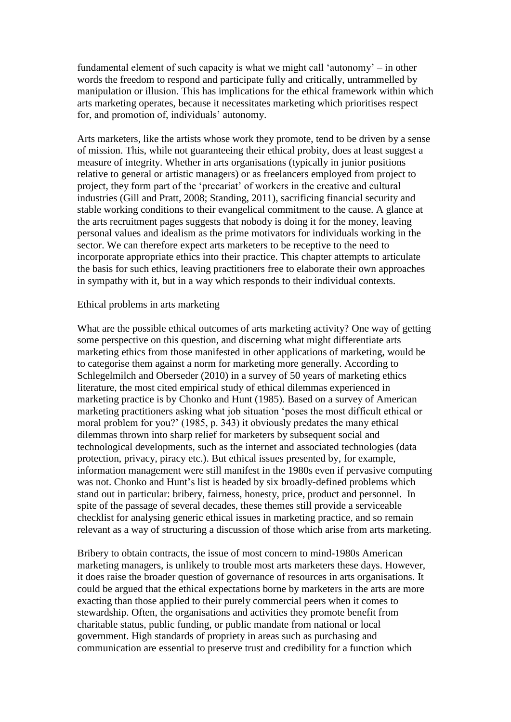fundamental element of such capacity is what we might call 'autonomy' – in other words the freedom to respond and participate fully and critically, untrammelled by manipulation or illusion. This has implications for the ethical framework within which arts marketing operates, because it necessitates marketing which prioritises respect for, and promotion of, individuals' autonomy.

Arts marketers, like the artists whose work they promote, tend to be driven by a sense of mission. This, while not guaranteeing their ethical probity, does at least suggest a measure of integrity. Whether in arts organisations (typically in junior positions relative to general or artistic managers) or as freelancers employed from project to project, they form part of the 'precariat' of workers in the creative and cultural industries (Gill and Pratt, 2008; Standing, 2011), sacrificing financial security and stable working conditions to their evangelical commitment to the cause. A glance at the arts recruitment pages suggests that nobody is doing it for the money, leaving personal values and idealism as the prime motivators for individuals working in the sector. We can therefore expect arts marketers to be receptive to the need to incorporate appropriate ethics into their practice. This chapter attempts to articulate the basis for such ethics, leaving practitioners free to elaborate their own approaches in sympathy with it, but in a way which responds to their individual contexts.

#### Ethical problems in arts marketing

What are the possible ethical outcomes of arts marketing activity? One way of getting some perspective on this question, and discerning what might differentiate arts marketing ethics from those manifested in other applications of marketing, would be to categorise them against a norm for marketing more generally. According to Schlegelmilch and Oberseder (2010) in a survey of 50 years of marketing ethics literature, the most cited empirical study of ethical dilemmas experienced in marketing practice is by Chonko and Hunt (1985). Based on a survey of American marketing practitioners asking what job situation 'poses the most difficult ethical or moral problem for you?' (1985, p. 343) it obviously predates the many ethical dilemmas thrown into sharp relief for marketers by subsequent social and technological developments, such as the internet and associated technologies (data protection, privacy, piracy etc.). But ethical issues presented by, for example, information management were still manifest in the 1980s even if pervasive computing was not. Chonko and Hunt's list is headed by six broadly-defined problems which stand out in particular: bribery, fairness, honesty, price, product and personnel. In spite of the passage of several decades, these themes still provide a serviceable checklist for analysing generic ethical issues in marketing practice, and so remain relevant as a way of structuring a discussion of those which arise from arts marketing.

Bribery to obtain contracts, the issue of most concern to mind-1980s American marketing managers, is unlikely to trouble most arts marketers these days. However, it does raise the broader question of governance of resources in arts organisations. It could be argued that the ethical expectations borne by marketers in the arts are more exacting than those applied to their purely commercial peers when it comes to stewardship. Often, the organisations and activities they promote benefit from charitable status, public funding, or public mandate from national or local government. High standards of propriety in areas such as purchasing and communication are essential to preserve trust and credibility for a function which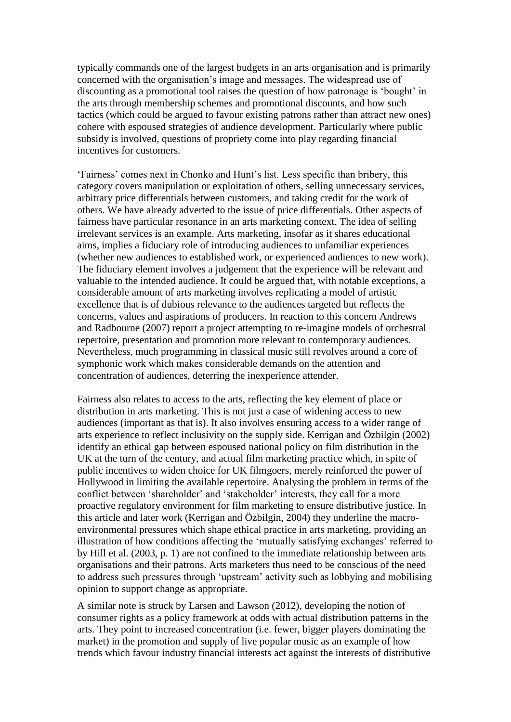typically commands one of the largest budgets in an arts organisation and is primarily concerned with the organisation's image and messages. The widespread use of discounting as a promotional tool raises the question of how patronage is 'bought' in the arts through membership schemes and promotional discounts, and how such tactics (which could be argued to favour existing patrons rather than attract new ones) cohere with espoused strategies of audience development. Particularly where public subsidy is involved, questions of propriety come into play regarding financial incentives for customers.

'Fairness' comes next in Chonko and Hunt's list. Less specific than bribery, this category covers manipulation or exploitation of others, selling unnecessary services, arbitrary price differentials between customers, and taking credit for the work of others. We have already adverted to the issue of price differentials. Other aspects of fairness have particular resonance in an arts marketing context. The idea of selling irrelevant services is an example. Arts marketing, insofar as it shares educational aims, implies a fiduciary role of introducing audiences to unfamiliar experiences (whether new audiences to established work, or experienced audiences to new work). The fiduciary element involves a judgement that the experience will be relevant and valuable to the intended audience. It could be argued that, with notable exceptions, a considerable amount of arts marketing involves replicating a model of artistic excellence that is of dubious relevance to the audiences targeted but reflects the concerns, values and aspirations of producers. In reaction to this concern Andrews and Radbourne (2007) report a project attempting to re-imagine models of orchestral repertoire, presentation and promotion more relevant to contemporary audiences. Nevertheless, much programming in classical music still revolves around a core of symphonic work which makes considerable demands on the attention and concentration of audiences, deterring the inexperience attender.

Fairness also relates to access to the arts, reflecting the key element of place or distribution in arts marketing. This is not just a case of widening access to new audiences (important as that is). It also involves ensuring access to a wider range of arts experience to reflect inclusivity on the supply side. Kerrigan and Özbilgin (2002) identify an ethical gap between espoused national policy on film distribution in the UK at the turn of the century, and actual film marketing practice which, in spite of public incentives to widen choice for UK filmgoers, merely reinforced the power of Hollywood in limiting the available repertoire. Analysing the problem in terms of the conflict between 'shareholder' and 'stakeholder' interests, they call for a more proactive regulatory environment for film marketing to ensure distributive justice. In this article and later work (Kerrigan and Özbilgin, 2004) they underline the macroenvironmental pressures which shape ethical practice in arts marketing, providing an illustration of how conditions affecting the 'mutually satisfying exchanges' referred to by Hill et al. (2003, p. 1) are not confined to the immediate relationship between arts organisations and their patrons. Arts marketers thus need to be conscious of the need to address such pressures through 'upstream' activity such as lobbying and mobilising opinion to support change as appropriate.

A similar note is struck by Larsen and Lawson (2012), developing the notion of consumer rights as a policy framework at odds with actual distribution patterns in the arts. They point to increased concentration (i.e. fewer, bigger players dominating the market) in the promotion and supply of live popular music as an example of how trends which favour industry financial interests act against the interests of distributive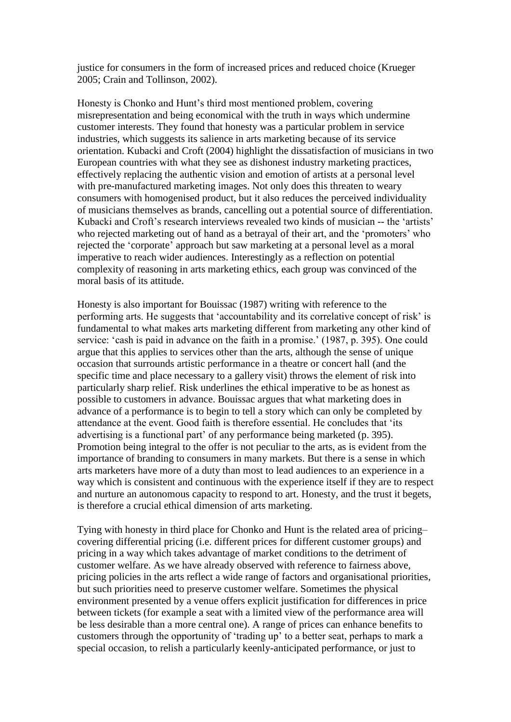justice for consumers in the form of increased prices and reduced choice (Krueger 2005; Crain and Tollinson, 2002).

Honesty is Chonko and Hunt's third most mentioned problem, covering misrepresentation and being economical with the truth in ways which undermine customer interests. They found that honesty was a particular problem in service industries, which suggests its salience in arts marketing because of its service orientation. Kubacki and Croft (2004) highlight the dissatisfaction of musicians in two European countries with what they see as dishonest industry marketing practices, effectively replacing the authentic vision and emotion of artists at a personal level with pre-manufactured marketing images. Not only does this threaten to weary consumers with homogenised product, but it also reduces the perceived individuality of musicians themselves as brands, cancelling out a potential source of differentiation. Kubacki and Croft's research interviews revealed two kinds of musician -- the 'artists' who rejected marketing out of hand as a betrayal of their art, and the 'promoters' who rejected the 'corporate' approach but saw marketing at a personal level as a moral imperative to reach wider audiences. Interestingly as a reflection on potential complexity of reasoning in arts marketing ethics, each group was convinced of the moral basis of its attitude.

Honesty is also important for Bouissac (1987) writing with reference to the performing arts. He suggests that 'accountability and its correlative concept of risk' is fundamental to what makes arts marketing different from marketing any other kind of service: 'cash is paid in advance on the faith in a promise.' (1987, p. 395). One could argue that this applies to services other than the arts, although the sense of unique occasion that surrounds artistic performance in a theatre or concert hall (and the specific time and place necessary to a gallery visit) throws the element of risk into particularly sharp relief. Risk underlines the ethical imperative to be as honest as possible to customers in advance. Bouissac argues that what marketing does in advance of a performance is to begin to tell a story which can only be completed by attendance at the event. Good faith is therefore essential. He concludes that 'its advertising is a functional part' of any performance being marketed (p. 395). Promotion being integral to the offer is not peculiar to the arts, as is evident from the importance of branding to consumers in many markets. But there is a sense in which arts marketers have more of a duty than most to lead audiences to an experience in a way which is consistent and continuous with the experience itself if they are to respect and nurture an autonomous capacity to respond to art. Honesty, and the trust it begets, is therefore a crucial ethical dimension of arts marketing.

Tying with honesty in third place for Chonko and Hunt is the related area of pricing– covering differential pricing (i.e. different prices for different customer groups) and pricing in a way which takes advantage of market conditions to the detriment of customer welfare. As we have already observed with reference to fairness above, pricing policies in the arts reflect a wide range of factors and organisational priorities, but such priorities need to preserve customer welfare. Sometimes the physical environment presented by a venue offers explicit justification for differences in price between tickets (for example a seat with a limited view of the performance area will be less desirable than a more central one). A range of prices can enhance benefits to customers through the opportunity of 'trading up' to a better seat, perhaps to mark a special occasion, to relish a particularly keenly-anticipated performance, or just to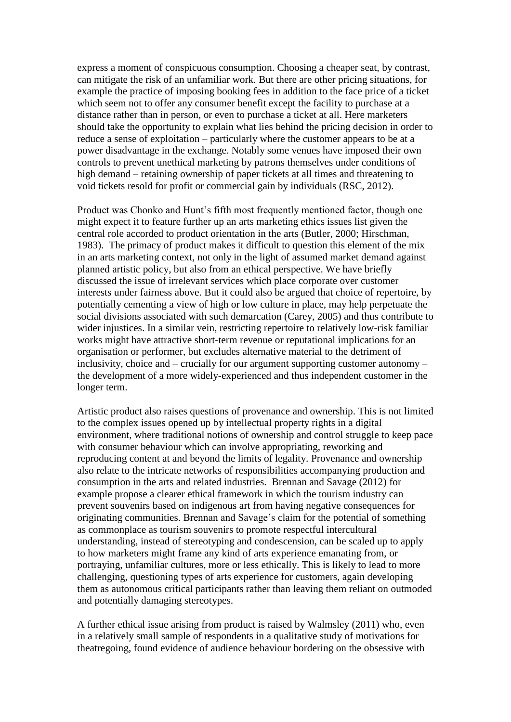express a moment of conspicuous consumption. Choosing a cheaper seat, by contrast, can mitigate the risk of an unfamiliar work. But there are other pricing situations, for example the practice of imposing booking fees in addition to the face price of a ticket which seem not to offer any consumer benefit except the facility to purchase at a distance rather than in person, or even to purchase a ticket at all. Here marketers should take the opportunity to explain what lies behind the pricing decision in order to reduce a sense of exploitation – particularly where the customer appears to be at a power disadvantage in the exchange. Notably some venues have imposed their own controls to prevent unethical marketing by patrons themselves under conditions of high demand – retaining ownership of paper tickets at all times and threatening to void tickets resold for profit or commercial gain by individuals (RSC, 2012).

Product was Chonko and Hunt's fifth most frequently mentioned factor, though one might expect it to feature further up an arts marketing ethics issues list given the central role accorded to product orientation in the arts (Butler, 2000; Hirschman, 1983). The primacy of product makes it difficult to question this element of the mix in an arts marketing context, not only in the light of assumed market demand against planned artistic policy, but also from an ethical perspective. We have briefly discussed the issue of irrelevant services which place corporate over customer interests under fairness above. But it could also be argued that choice of repertoire, by potentially cementing a view of high or low culture in place, may help perpetuate the social divisions associated with such demarcation (Carey, 2005) and thus contribute to wider injustices. In a similar vein, restricting repertoire to relatively low-risk familiar works might have attractive short-term revenue or reputational implications for an organisation or performer, but excludes alternative material to the detriment of inclusivity, choice and – crucially for our argument supporting customer autonomy – the development of a more widely-experienced and thus independent customer in the longer term.

Artistic product also raises questions of provenance and ownership. This is not limited to the complex issues opened up by intellectual property rights in a digital environment, where traditional notions of ownership and control struggle to keep pace with consumer behaviour which can involve appropriating, reworking and reproducing content at and beyond the limits of legality. Provenance and ownership also relate to the intricate networks of responsibilities accompanying production and consumption in the arts and related industries. Brennan and Savage (2012) for example propose a clearer ethical framework in which the tourism industry can prevent souvenirs based on indigenous art from having negative consequences for originating communities. Brennan and Savage's claim for the potential of something as commonplace as tourism souvenirs to promote respectful intercultural understanding, instead of stereotyping and condescension, can be scaled up to apply to how marketers might frame any kind of arts experience emanating from, or portraying, unfamiliar cultures, more or less ethically. This is likely to lead to more challenging, questioning types of arts experience for customers, again developing them as autonomous critical participants rather than leaving them reliant on outmoded and potentially damaging stereotypes.

A further ethical issue arising from product is raised by Walmsley (2011) who, even in a relatively small sample of respondents in a qualitative study of motivations for theatregoing, found evidence of audience behaviour bordering on the obsessive with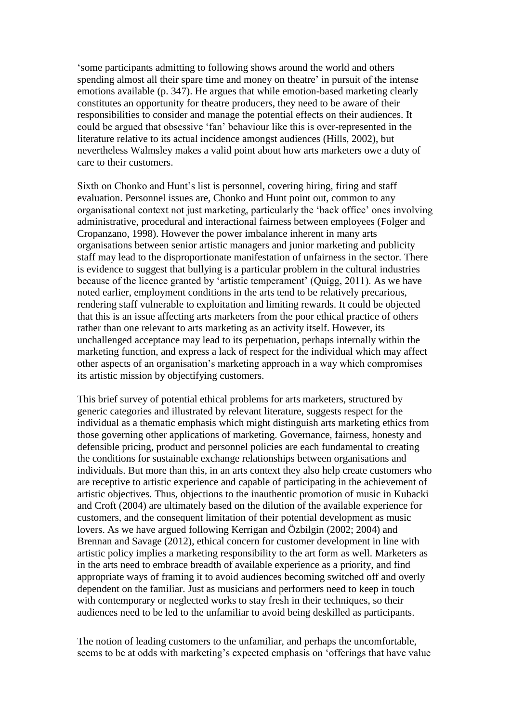'some participants admitting to following shows around the world and others spending almost all their spare time and money on theatre' in pursuit of the intense emotions available (p. 347). He argues that while emotion-based marketing clearly constitutes an opportunity for theatre producers, they need to be aware of their responsibilities to consider and manage the potential effects on their audiences. It could be argued that obsessive 'fan' behaviour like this is over-represented in the literature relative to its actual incidence amongst audiences (Hills, 2002), but nevertheless Walmsley makes a valid point about how arts marketers owe a duty of care to their customers.

Sixth on Chonko and Hunt's list is personnel, covering hiring, firing and staff evaluation. Personnel issues are, Chonko and Hunt point out, common to any organisational context not just marketing, particularly the 'back office' ones involving administrative, procedural and interactional fairness between employees (Folger and Cropanzano, 1998). However the power imbalance inherent in many arts organisations between senior artistic managers and junior marketing and publicity staff may lead to the disproportionate manifestation of unfairness in the sector. There is evidence to suggest that bullying is a particular problem in the cultural industries because of the licence granted by 'artistic temperament' (Quigg, 2011). As we have noted earlier, employment conditions in the arts tend to be relatively precarious, rendering staff vulnerable to exploitation and limiting rewards. It could be objected that this is an issue affecting arts marketers from the poor ethical practice of others rather than one relevant to arts marketing as an activity itself. However, its unchallenged acceptance may lead to its perpetuation, perhaps internally within the marketing function, and express a lack of respect for the individual which may affect other aspects of an organisation's marketing approach in a way which compromises its artistic mission by objectifying customers.

This brief survey of potential ethical problems for arts marketers, structured by generic categories and illustrated by relevant literature, suggests respect for the individual as a thematic emphasis which might distinguish arts marketing ethics from those governing other applications of marketing. Governance, fairness, honesty and defensible pricing, product and personnel policies are each fundamental to creating the conditions for sustainable exchange relationships between organisations and individuals. But more than this, in an arts context they also help create customers who are receptive to artistic experience and capable of participating in the achievement of artistic objectives. Thus, objections to the inauthentic promotion of music in Kubacki and Croft (2004) are ultimately based on the dilution of the available experience for customers, and the consequent limitation of their potential development as music lovers. As we have argued following Kerrigan and Özbilgin (2002; 2004) and Brennan and Savage (2012), ethical concern for customer development in line with artistic policy implies a marketing responsibility to the art form as well. Marketers as in the arts need to embrace breadth of available experience as a priority, and find appropriate ways of framing it to avoid audiences becoming switched off and overly dependent on the familiar. Just as musicians and performers need to keep in touch with contemporary or neglected works to stay fresh in their techniques, so their audiences need to be led to the unfamiliar to avoid being deskilled as participants.

The notion of leading customers to the unfamiliar, and perhaps the uncomfortable, seems to be at odds with marketing's expected emphasis on 'offerings that have value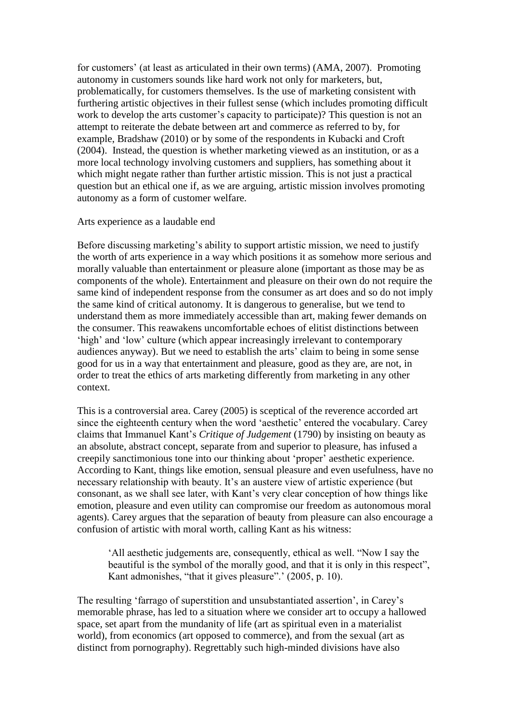for customers' (at least as articulated in their own terms) (AMA, 2007). Promoting autonomy in customers sounds like hard work not only for marketers, but, problematically, for customers themselves. Is the use of marketing consistent with furthering artistic objectives in their fullest sense (which includes promoting difficult work to develop the arts customer's capacity to participate)? This question is not an attempt to reiterate the debate between art and commerce as referred to by, for example, Bradshaw (2010) or by some of the respondents in Kubacki and Croft (2004). Instead, the question is whether marketing viewed as an institution, or as a more local technology involving customers and suppliers, has something about it which might negate rather than further artistic mission. This is not just a practical question but an ethical one if, as we are arguing, artistic mission involves promoting autonomy as a form of customer welfare.

#### Arts experience as a laudable end

Before discussing marketing's ability to support artistic mission, we need to justify the worth of arts experience in a way which positions it as somehow more serious and morally valuable than entertainment or pleasure alone (important as those may be as components of the whole). Entertainment and pleasure on their own do not require the same kind of independent response from the consumer as art does and so do not imply the same kind of critical autonomy. It is dangerous to generalise, but we tend to understand them as more immediately accessible than art, making fewer demands on the consumer. This reawakens uncomfortable echoes of elitist distinctions between 'high' and 'low' culture (which appear increasingly irrelevant to contemporary audiences anyway). But we need to establish the arts' claim to being in some sense good for us in a way that entertainment and pleasure, good as they are, are not, in order to treat the ethics of arts marketing differently from marketing in any other context.

This is a controversial area. Carey (2005) is sceptical of the reverence accorded art since the eighteenth century when the word 'aesthetic' entered the vocabulary. Carey claims that Immanuel Kant's *Critique of Judgement* (1790) by insisting on beauty as an absolute, abstract concept, separate from and superior to pleasure, has infused a creepily sanctimonious tone into our thinking about 'proper' aesthetic experience. According to Kant, things like emotion, sensual pleasure and even usefulness, have no necessary relationship with beauty. It's an austere view of artistic experience (but consonant, as we shall see later, with Kant's very clear conception of how things like emotion, pleasure and even utility can compromise our freedom as autonomous moral agents). Carey argues that the separation of beauty from pleasure can also encourage a confusion of artistic with moral worth, calling Kant as his witness:

'All aesthetic judgements are, consequently, ethical as well. "Now I say the beautiful is the symbol of the morally good, and that it is only in this respect", Kant admonishes, "that it gives pleasure".' (2005, p. 10).

The resulting 'farrago of superstition and unsubstantiated assertion', in Carey's memorable phrase, has led to a situation where we consider art to occupy a hallowed space, set apart from the mundanity of life (art as spiritual even in a materialist world), from economics (art opposed to commerce), and from the sexual (art as distinct from pornography). Regrettably such high-minded divisions have also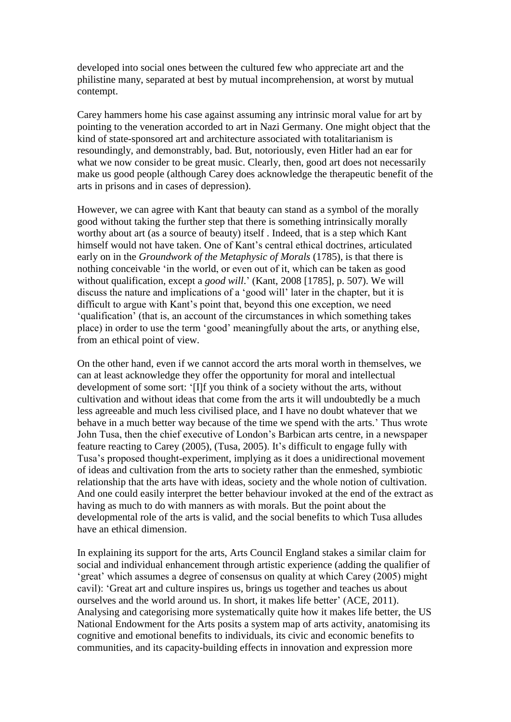developed into social ones between the cultured few who appreciate art and the philistine many, separated at best by mutual incomprehension, at worst by mutual contempt.

Carey hammers home his case against assuming any intrinsic moral value for art by pointing to the veneration accorded to art in Nazi Germany. One might object that the kind of state-sponsored art and architecture associated with totalitarianism is resoundingly, and demonstrably, bad. But, notoriously, even Hitler had an ear for what we now consider to be great music. Clearly, then, good art does not necessarily make us good people (although Carey does acknowledge the therapeutic benefit of the arts in prisons and in cases of depression).

However, we can agree with Kant that beauty can stand as a symbol of the morally good without taking the further step that there is something intrinsically morally worthy about art (as a source of beauty) itself . Indeed, that is a step which Kant himself would not have taken. One of Kant's central ethical doctrines, articulated early on in the *Groundwork of the Metaphysic of Morals* (1785), is that there is nothing conceivable 'in the world, or even out of it, which can be taken as good without qualification, except a *good will*.' (Kant, 2008 [1785], p. 507). We will discuss the nature and implications of a 'good will' later in the chapter, but it is difficult to argue with Kant's point that, beyond this one exception, we need 'qualification' (that is, an account of the circumstances in which something takes place) in order to use the term 'good' meaningfully about the arts, or anything else, from an ethical point of view.

On the other hand, even if we cannot accord the arts moral worth in themselves, we can at least acknowledge they offer the opportunity for moral and intellectual development of some sort: '[I]f you think of a society without the arts, without cultivation and without ideas that come from the arts it will undoubtedly be a much less agreeable and much less civilised place, and I have no doubt whatever that we behave in a much better way because of the time we spend with the arts.' Thus wrote John Tusa, then the chief executive of London's Barbican arts centre, in a newspaper feature reacting to Carey (2005), (Tusa, 2005). It's difficult to engage fully with Tusa's proposed thought-experiment, implying as it does a unidirectional movement of ideas and cultivation from the arts to society rather than the enmeshed, symbiotic relationship that the arts have with ideas, society and the whole notion of cultivation. And one could easily interpret the better behaviour invoked at the end of the extract as having as much to do with manners as with morals. But the point about the developmental role of the arts is valid, and the social benefits to which Tusa alludes have an ethical dimension.

In explaining its support for the arts, Arts Council England stakes a similar claim for social and individual enhancement through artistic experience (adding the qualifier of 'great' which assumes a degree of consensus on quality at which Carey (2005) might cavil): 'Great art and culture inspires us, brings us together and teaches us about ourselves and the world around us. In short, it makes life better' (ACE, 2011). Analysing and categorising more systematically quite how it makes life better, the US National Endowment for the Arts posits a system map of arts activity, anatomising its cognitive and emotional benefits to individuals, its civic and economic benefits to communities, and its capacity-building effects in innovation and expression more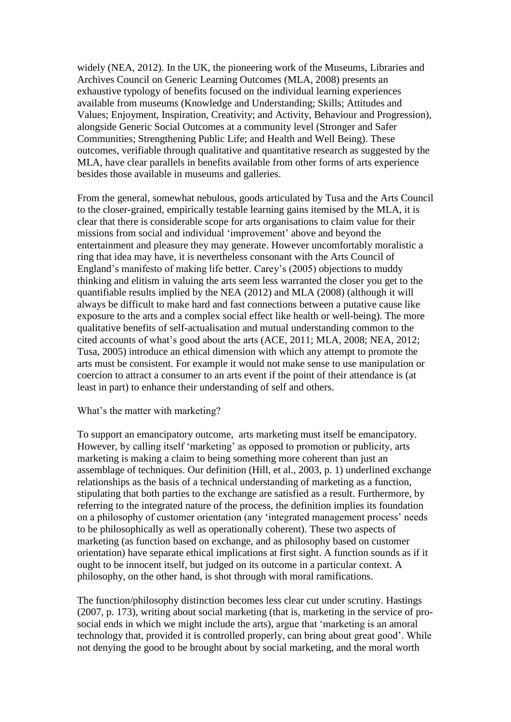widely (NEA, 2012). In the UK, the pioneering work of the Museums, Libraries and Archives Council on Generic Learning Outcomes (MLA, 2008) presents an exhaustive typology of benefits focused on the individual learning experiences available from museums (Knowledge and Understanding; Skills; Attitudes and Values; Enjoyment, Inspiration, Creativity; and Activity, Behaviour and Progression), alongside Generic Social Outcomes at a community level (Stronger and Safer Communities; Strengthening Public Life; and Health and Well Being). These outcomes, verifiable through qualitative and quantitative research as suggested by the MLA, have clear parallels in benefits available from other forms of arts experience besides those available in museums and galleries.

From the general, somewhat nebulous, goods articulated by Tusa and the Arts Council to the closer-grained, empirically testable learning gains itemised by the MLA, it is clear that there is considerable scope for arts organisations to claim value for their missions from social and individual 'improvement' above and beyond the entertainment and pleasure they may generate. However uncomfortably moralistic a ring that idea may have, it is nevertheless consonant with the Arts Council of England's manifesto of making life better. Carey's (2005) objections to muddy thinking and elitism in valuing the arts seem less warranted the closer you get to the quantifiable results implied by the NEA (2012) and MLA (2008) (although it will always be difficult to make hard and fast connections between a putative cause like exposure to the arts and a complex social effect like health or well-being). The more qualitative benefits of self-actualisation and mutual understanding common to the cited accounts of what's good about the arts (ACE, 2011; MLA, 2008; NEA, 2012; Tusa, 2005) introduce an ethical dimension with which any attempt to promote the arts must be consistent. For example it would not make sense to use manipulation or coercion to attract a consumer to an arts event if the point of their attendance is (at least in part) to enhance their understanding of self and others.

#### What's the matter with marketing?

To support an emancipatory outcome, arts marketing must itself be emancipatory. However, by calling itself 'marketing' as opposed to promotion or publicity, arts marketing is making a claim to being something more coherent than just an assemblage of techniques. Our definition (Hill, et al., 2003, p. 1) underlined exchange relationships as the basis of a technical understanding of marketing as a function, stipulating that both parties to the exchange are satisfied as a result. Furthermore, by referring to the integrated nature of the process, the definition implies its foundation on a philosophy of customer orientation (any 'integrated management process' needs to be philosophically as well as operationally coherent). These two aspects of marketing (as function based on exchange, and as philosophy based on customer orientation) have separate ethical implications at first sight. A function sounds as if it ought to be innocent itself, but judged on its outcome in a particular context. A philosophy, on the other hand, is shot through with moral ramifications.

The function/philosophy distinction becomes less clear cut under scrutiny. Hastings (2007, p. 173), writing about social marketing (that is, marketing in the service of prosocial ends in which we might include the arts), argue that 'marketing is an amoral technology that, provided it is controlled properly, can bring about great good'. While not denying the good to be brought about by social marketing, and the moral worth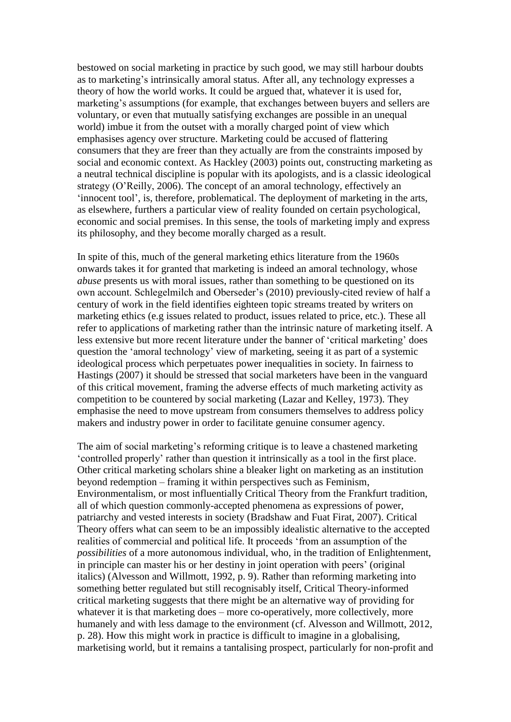bestowed on social marketing in practice by such good, we may still harbour doubts as to marketing's intrinsically amoral status. After all, any technology expresses a theory of how the world works. It could be argued that, whatever it is used for, marketing's assumptions (for example, that exchanges between buyers and sellers are voluntary, or even that mutually satisfying exchanges are possible in an unequal world) imbue it from the outset with a morally charged point of view which emphasises agency over structure. Marketing could be accused of flattering consumers that they are freer than they actually are from the constraints imposed by social and economic context. As Hackley (2003) points out, constructing marketing as a neutral technical discipline is popular with its apologists, and is a classic ideological strategy (O'Reilly, 2006). The concept of an amoral technology, effectively an 'innocent tool', is, therefore, problematical. The deployment of marketing in the arts, as elsewhere, furthers a particular view of reality founded on certain psychological, economic and social premises. In this sense, the tools of marketing imply and express its philosophy, and they become morally charged as a result.

In spite of this, much of the general marketing ethics literature from the 1960s onwards takes it for granted that marketing is indeed an amoral technology, whose *abuse* presents us with moral issues, rather than something to be questioned on its own account. Schlegelmilch and Oberseder's (2010) previously-cited review of half a century of work in the field identifies eighteen topic streams treated by writers on marketing ethics (e.g issues related to product, issues related to price, etc.). These all refer to applications of marketing rather than the intrinsic nature of marketing itself. A less extensive but more recent literature under the banner of 'critical marketing' does question the 'amoral technology' view of marketing, seeing it as part of a systemic ideological process which perpetuates power inequalities in society. In fairness to Hastings (2007) it should be stressed that social marketers have been in the vanguard of this critical movement, framing the adverse effects of much marketing activity as competition to be countered by social marketing (Lazar and Kelley, 1973). They emphasise the need to move upstream from consumers themselves to address policy makers and industry power in order to facilitate genuine consumer agency.

The aim of social marketing's reforming critique is to leave a chastened marketing 'controlled properly' rather than question it intrinsically as a tool in the first place. Other critical marketing scholars shine a bleaker light on marketing as an institution beyond redemption – framing it within perspectives such as Feminism, Environmentalism, or most influentially Critical Theory from the Frankfurt tradition, all of which question commonly-accepted phenomena as expressions of power, patriarchy and vested interests in society (Bradshaw and Fuat Firat, 2007). Critical Theory offers what can seem to be an impossibly idealistic alternative to the accepted realities of commercial and political life. It proceeds 'from an assumption of the *possibilities* of a more autonomous individual, who, in the tradition of Enlightenment, in principle can master his or her destiny in joint operation with peers' (original italics) (Alvesson and Willmott, 1992, p. 9). Rather than reforming marketing into something better regulated but still recognisably itself, Critical Theory-informed critical marketing suggests that there might be an alternative way of providing for whatever it is that marketing does – more co-operatively, more collectively, more humanely and with less damage to the environment (cf. Alvesson and Willmott, 2012, p. 28). How this might work in practice is difficult to imagine in a globalising, marketising world, but it remains a tantalising prospect, particularly for non-profit and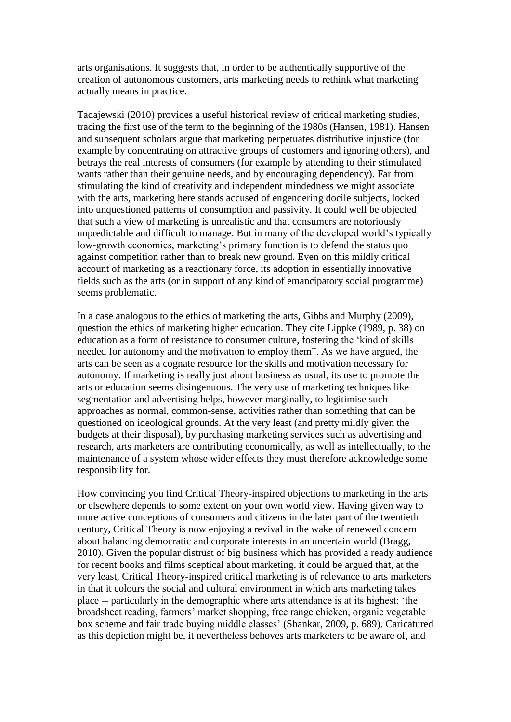arts organisations. It suggests that, in order to be authentically supportive of the creation of autonomous customers, arts marketing needs to rethink what marketing actually means in practice.

Tadajewski (2010) provides a useful historical review of critical marketing studies, tracing the first use of the term to the beginning of the 1980s (Hansen, 1981). Hansen and subsequent scholars argue that marketing perpetuates distributive injustice (for example by concentrating on attractive groups of customers and ignoring others), and betrays the real interests of consumers (for example by attending to their stimulated wants rather than their genuine needs, and by encouraging dependency). Far from stimulating the kind of creativity and independent mindedness we might associate with the arts, marketing here stands accused of engendering docile subjects, locked into unquestioned patterns of consumption and passivity. It could well be objected that such a view of marketing is unrealistic and that consumers are notoriously unpredictable and difficult to manage. But in many of the developed world's typically low-growth economies, marketing's primary function is to defend the status quo against competition rather than to break new ground. Even on this mildly critical account of marketing as a reactionary force, its adoption in essentially innovative fields such as the arts (or in support of any kind of emancipatory social programme) seems problematic.

In a case analogous to the ethics of marketing the arts, Gibbs and Murphy (2009), question the ethics of marketing higher education. They cite Lippke (1989, p. 38) on education as a form of resistance to consumer culture, fostering the 'kind of skills needed for autonomy and the motivation to employ them". As we have argued, the arts can be seen as a cognate resource for the skills and motivation necessary for autonomy. If marketing is really just about business as usual, its use to promote the arts or education seems disingenuous. The very use of marketing techniques like segmentation and advertising helps, however marginally, to legitimise such approaches as normal, common-sense, activities rather than something that can be questioned on ideological grounds. At the very least (and pretty mildly given the budgets at their disposal), by purchasing marketing services such as advertising and research, arts marketers are contributing economically, as well as intellectually, to the maintenance of a system whose wider effects they must therefore acknowledge some responsibility for.

How convincing you find Critical Theory-inspired objections to marketing in the arts or elsewhere depends to some extent on your own world view. Having given way to more active conceptions of consumers and citizens in the later part of the twentieth century, Critical Theory is now enjoying a revival in the wake of renewed concern about balancing democratic and corporate interests in an uncertain world (Bragg, 2010). Given the popular distrust of big business which has provided a ready audience for recent books and films sceptical about marketing, it could be argued that, at the very least, Critical Theory-inspired critical marketing is of relevance to arts marketers in that it colours the social and cultural environment in which arts marketing takes place -- particularly in the demographic where arts attendance is at its highest: 'the broadsheet reading, farmers' market shopping, free range chicken, organic vegetable box scheme and fair trade buying middle classes' (Shankar, 2009, p. 689). Caricatured as this depiction might be, it nevertheless behoves arts marketers to be aware of, and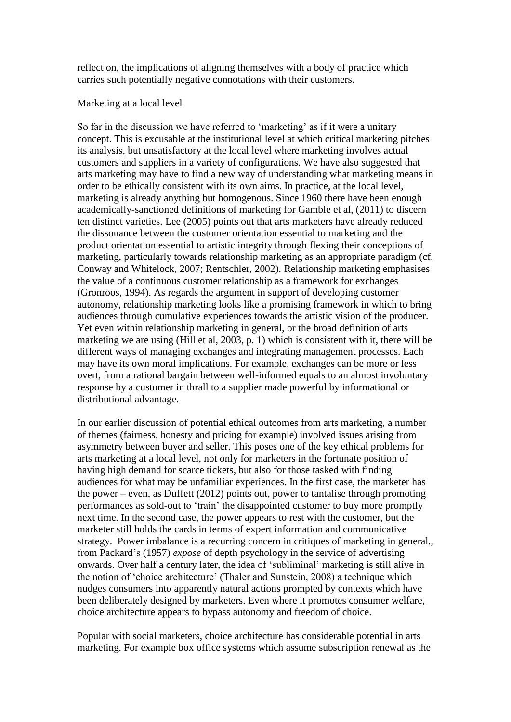reflect on, the implications of aligning themselves with a body of practice which carries such potentially negative connotations with their customers.

#### Marketing at a local level

So far in the discussion we have referred to 'marketing' as if it were a unitary concept. This is excusable at the institutional level at which critical marketing pitches its analysis, but unsatisfactory at the local level where marketing involves actual customers and suppliers in a variety of configurations. We have also suggested that arts marketing may have to find a new way of understanding what marketing means in order to be ethically consistent with its own aims. In practice, at the local level, marketing is already anything but homogenous. Since 1960 there have been enough academically-sanctioned definitions of marketing for Gamble et al, (2011) to discern ten distinct varieties. Lee (2005) points out that arts marketers have already reduced the dissonance between the customer orientation essential to marketing and the product orientation essential to artistic integrity through flexing their conceptions of marketing, particularly towards relationship marketing as an appropriate paradigm (cf. Conway and Whitelock, 2007; Rentschler, 2002). Relationship marketing emphasises the value of a continuous customer relationship as a framework for exchanges (Gronroos, 1994). As regards the argument in support of developing customer autonomy, relationship marketing looks like a promising framework in which to bring audiences through cumulative experiences towards the artistic vision of the producer. Yet even within relationship marketing in general, or the broad definition of arts marketing we are using (Hill et al, 2003, p. 1) which is consistent with it, there will be different ways of managing exchanges and integrating management processes. Each may have its own moral implications. For example, exchanges can be more or less overt, from a rational bargain between well-informed equals to an almost involuntary response by a customer in thrall to a supplier made powerful by informational or distributional advantage.

In our earlier discussion of potential ethical outcomes from arts marketing, a number of themes (fairness, honesty and pricing for example) involved issues arising from asymmetry between buyer and seller. This poses one of the key ethical problems for arts marketing at a local level, not only for marketers in the fortunate position of having high demand for scarce tickets, but also for those tasked with finding audiences for what may be unfamiliar experiences. In the first case, the marketer has the power – even, as Duffett (2012) points out, power to tantalise through promoting performances as sold-out to 'train' the disappointed customer to buy more promptly next time. In the second case, the power appears to rest with the customer, but the marketer still holds the cards in terms of expert information and communicative strategy. Power imbalance is a recurring concern in critiques of marketing in general., from Packard's (1957) *expose* of depth psychology in the service of advertising onwards. Over half a century later, the idea of 'subliminal' marketing is still alive in the notion of 'choice architecture' (Thaler and Sunstein, 2008) a technique which nudges consumers into apparently natural actions prompted by contexts which have been deliberately designed by marketers. Even where it promotes consumer welfare, choice architecture appears to bypass autonomy and freedom of choice.

Popular with social marketers, choice architecture has considerable potential in arts marketing. For example box office systems which assume subscription renewal as the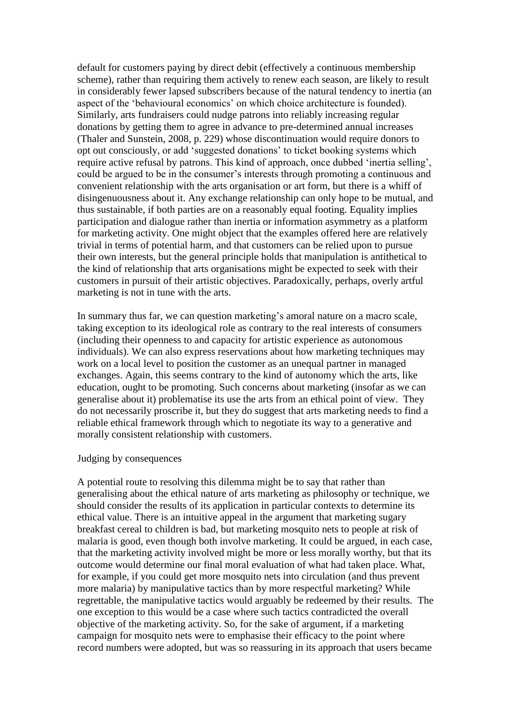default for customers paying by direct debit (effectively a continuous membership scheme), rather than requiring them actively to renew each season, are likely to result in considerably fewer lapsed subscribers because of the natural tendency to inertia (an aspect of the 'behavioural economics' on which choice architecture is founded). Similarly, arts fundraisers could nudge patrons into reliably increasing regular donations by getting them to agree in advance to pre-determined annual increases (Thaler and Sunstein, 2008, p. 229) whose discontinuation would require donors to opt out consciously, or add 'suggested donations' to ticket booking systems which require active refusal by patrons. This kind of approach, once dubbed 'inertia selling', could be argued to be in the consumer's interests through promoting a continuous and convenient relationship with the arts organisation or art form, but there is a whiff of disingenuousness about it. Any exchange relationship can only hope to be mutual, and thus sustainable, if both parties are on a reasonably equal footing. Equality implies participation and dialogue rather than inertia or information asymmetry as a platform for marketing activity. One might object that the examples offered here are relatively trivial in terms of potential harm, and that customers can be relied upon to pursue their own interests, but the general principle holds that manipulation is antithetical to the kind of relationship that arts organisations might be expected to seek with their customers in pursuit of their artistic objectives. Paradoxically, perhaps, overly artful marketing is not in tune with the arts.

In summary thus far, we can question marketing's amoral nature on a macro scale, taking exception to its ideological role as contrary to the real interests of consumers (including their openness to and capacity for artistic experience as autonomous individuals). We can also express reservations about how marketing techniques may work on a local level to position the customer as an unequal partner in managed exchanges. Again, this seems contrary to the kind of autonomy which the arts, like education, ought to be promoting. Such concerns about marketing (insofar as we can generalise about it) problematise its use the arts from an ethical point of view. They do not necessarily proscribe it, but they do suggest that arts marketing needs to find a reliable ethical framework through which to negotiate its way to a generative and morally consistent relationship with customers.

#### Judging by consequences

A potential route to resolving this dilemma might be to say that rather than generalising about the ethical nature of arts marketing as philosophy or technique, we should consider the results of its application in particular contexts to determine its ethical value. There is an intuitive appeal in the argument that marketing sugary breakfast cereal to children is bad, but marketing mosquito nets to people at risk of malaria is good, even though both involve marketing. It could be argued, in each case, that the marketing activity involved might be more or less morally worthy, but that its outcome would determine our final moral evaluation of what had taken place. What, for example, if you could get more mosquito nets into circulation (and thus prevent more malaria) by manipulative tactics than by more respectful marketing? While regrettable, the manipulative tactics would arguably be redeemed by their results. The one exception to this would be a case where such tactics contradicted the overall objective of the marketing activity. So, for the sake of argument, if a marketing campaign for mosquito nets were to emphasise their efficacy to the point where record numbers were adopted, but was so reassuring in its approach that users became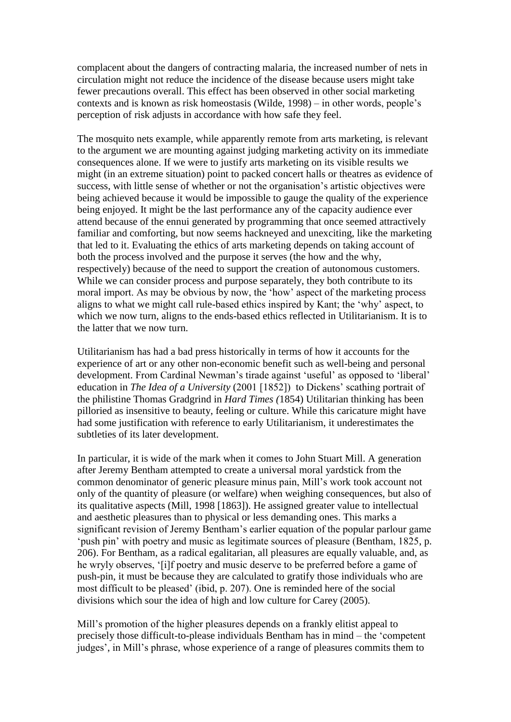complacent about the dangers of contracting malaria, the increased number of nets in circulation might not reduce the incidence of the disease because users might take fewer precautions overall. This effect has been observed in other social marketing contexts and is known as risk homeostasis (Wilde, 1998) – in other words, people's perception of risk adjusts in accordance with how safe they feel.

The mosquito nets example, while apparently remote from arts marketing, is relevant to the argument we are mounting against judging marketing activity on its immediate consequences alone. If we were to justify arts marketing on its visible results we might (in an extreme situation) point to packed concert halls or theatres as evidence of success, with little sense of whether or not the organisation's artistic objectives were being achieved because it would be impossible to gauge the quality of the experience being enjoyed. It might be the last performance any of the capacity audience ever attend because of the ennui generated by programming that once seemed attractively familiar and comforting, but now seems hackneyed and unexciting, like the marketing that led to it. Evaluating the ethics of arts marketing depends on taking account of both the process involved and the purpose it serves (the how and the why, respectively) because of the need to support the creation of autonomous customers. While we can consider process and purpose separately, they both contribute to its moral import. As may be obvious by now, the 'how' aspect of the marketing process aligns to what we might call rule-based ethics inspired by Kant; the 'why' aspect, to which we now turn, aligns to the ends-based ethics reflected in Utilitarianism. It is to the latter that we now turn.

Utilitarianism has had a bad press historically in terms of how it accounts for the experience of art or any other non-economic benefit such as well-being and personal development. From Cardinal Newman's tirade against 'useful' as opposed to 'liberal' education in *The Idea of a University* (2001 [1852]) to Dickens' scathing portrait of the philistine Thomas Gradgrind in *Hard Times (*1854) Utilitarian thinking has been pilloried as insensitive to beauty, feeling or culture. While this caricature might have had some justification with reference to early Utilitarianism, it underestimates the subtleties of its later development.

In particular, it is wide of the mark when it comes to John Stuart Mill. A generation after Jeremy Bentham attempted to create a universal moral yardstick from the common denominator of generic pleasure minus pain, Mill's work took account not only of the quantity of pleasure (or welfare) when weighing consequences, but also of its qualitative aspects (Mill, 1998 [1863]). He assigned greater value to intellectual and aesthetic pleasures than to physical or less demanding ones. This marks a significant revision of Jeremy Bentham's earlier equation of the popular parlour game 'push pin' with poetry and music as legitimate sources of pleasure (Bentham, 1825, p. 206). For Bentham, as a radical egalitarian, all pleasures are equally valuable, and, as he wryly observes, '[i]f poetry and music deserve to be preferred before a game of push-pin, it must be because they are calculated to gratify those individuals who are most difficult to be pleased' (ibid, p. 207). One is reminded here of the social divisions which sour the idea of high and low culture for Carey (2005).

Mill's promotion of the higher pleasures depends on a frankly elitist appeal to precisely those difficult-to-please individuals Bentham has in mind – the 'competent judges', in Mill's phrase, whose experience of a range of pleasures commits them to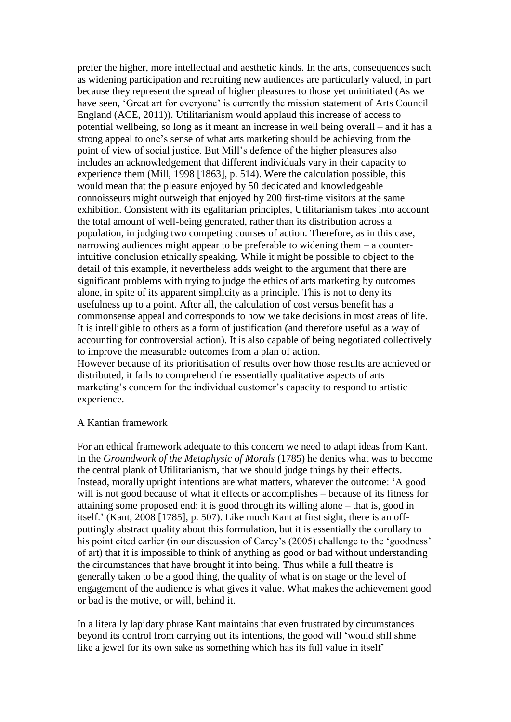prefer the higher, more intellectual and aesthetic kinds. In the arts, consequences such as widening participation and recruiting new audiences are particularly valued, in part because they represent the spread of higher pleasures to those yet uninitiated (As we have seen, 'Great art for everyone' is currently the mission statement of Arts Council England (ACE, 2011)). Utilitarianism would applaud this increase of access to potential wellbeing, so long as it meant an increase in well being overall – and it has a strong appeal to one's sense of what arts marketing should be achieving from the point of view of social justice. But Mill's defence of the higher pleasures also includes an acknowledgement that different individuals vary in their capacity to experience them (Mill, 1998 [1863], p. 514). Were the calculation possible, this would mean that the pleasure enjoyed by 50 dedicated and knowledgeable connoisseurs might outweigh that enjoyed by 200 first-time visitors at the same exhibition. Consistent with its egalitarian principles, Utilitarianism takes into account the total amount of well-being generated, rather than its distribution across a population, in judging two competing courses of action. Therefore, as in this case, narrowing audiences might appear to be preferable to widening them – a counterintuitive conclusion ethically speaking. While it might be possible to object to the detail of this example, it nevertheless adds weight to the argument that there are significant problems with trying to judge the ethics of arts marketing by outcomes alone, in spite of its apparent simplicity as a principle. This is not to deny its usefulness up to a point. After all, the calculation of cost versus benefit has a commonsense appeal and corresponds to how we take decisions in most areas of life. It is intelligible to others as a form of justification (and therefore useful as a way of accounting for controversial action). It is also capable of being negotiated collectively to improve the measurable outcomes from a plan of action. However because of its prioritisation of results over how those results are achieved or distributed, it fails to comprehend the essentially qualitative aspects of arts marketing's concern for the individual customer's capacity to respond to artistic experience.

#### A Kantian framework

For an ethical framework adequate to this concern we need to adapt ideas from Kant. In the *Groundwork of the Metaphysic of Morals* (1785) he denies what was to become the central plank of Utilitarianism, that we should judge things by their effects. Instead, morally upright intentions are what matters, whatever the outcome: 'A good will is not good because of what it effects or accomplishes – because of its fitness for attaining some proposed end: it is good through its willing alone – that is, good in itself.' (Kant, 2008 [1785], p. 507). Like much Kant at first sight, there is an offputtingly abstract quality about this formulation, but it is essentially the corollary to his point cited earlier (in our discussion of Carey's (2005) challenge to the 'goodness' of art) that it is impossible to think of anything as good or bad without understanding the circumstances that have brought it into being. Thus while a full theatre is generally taken to be a good thing, the quality of what is on stage or the level of engagement of the audience is what gives it value. What makes the achievement good or bad is the motive, or will, behind it.

In a literally lapidary phrase Kant maintains that even frustrated by circumstances beyond its control from carrying out its intentions, the good will 'would still shine like a jewel for its own sake as something which has its full value in itself'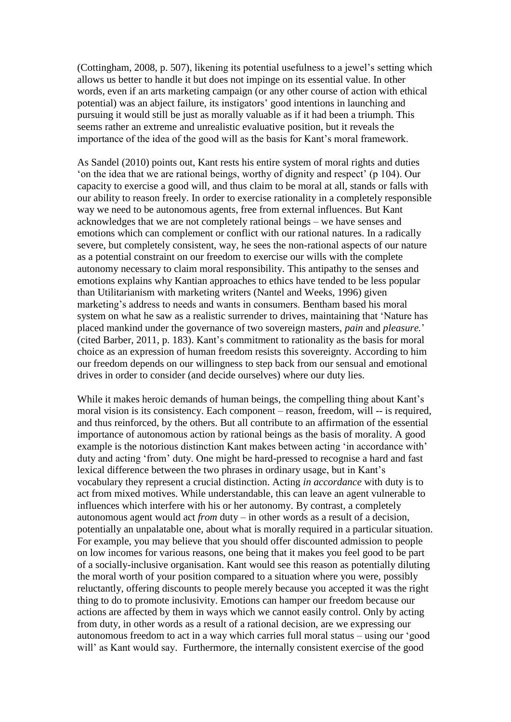(Cottingham, 2008, p. 507), likening its potential usefulness to a jewel's setting which allows us better to handle it but does not impinge on its essential value. In other words, even if an arts marketing campaign (or any other course of action with ethical potential) was an abject failure, its instigators' good intentions in launching and pursuing it would still be just as morally valuable as if it had been a triumph. This seems rather an extreme and unrealistic evaluative position, but it reveals the importance of the idea of the good will as the basis for Kant's moral framework.

As Sandel (2010) points out, Kant rests his entire system of moral rights and duties 'on the idea that we are rational beings, worthy of dignity and respect' (p 104). Our capacity to exercise a good will, and thus claim to be moral at all, stands or falls with our ability to reason freely. In order to exercise rationality in a completely responsible way we need to be autonomous agents, free from external influences. But Kant acknowledges that we are not completely rational beings – we have senses and emotions which can complement or conflict with our rational natures. In a radically severe, but completely consistent, way, he sees the non-rational aspects of our nature as a potential constraint on our freedom to exercise our wills with the complete autonomy necessary to claim moral responsibility. This antipathy to the senses and emotions explains why Kantian approaches to ethics have tended to be less popular than Utilitarianism with marketing writers (Nantel and Weeks, 1996) given marketing's address to needs and wants in consumers. Bentham based his moral system on what he saw as a realistic surrender to drives, maintaining that 'Nature has placed mankind under the governance of two sovereign masters, *pain* and *pleasure.*' (cited Barber, 2011, p. 183). Kant's commitment to rationality as the basis for moral choice as an expression of human freedom resists this sovereignty. According to him our freedom depends on our willingness to step back from our sensual and emotional drives in order to consider (and decide ourselves) where our duty lies.

While it makes heroic demands of human beings, the compelling thing about Kant's moral vision is its consistency. Each component – reason, freedom, will -- is required, and thus reinforced, by the others. But all contribute to an affirmation of the essential importance of autonomous action by rational beings as the basis of morality. A good example is the notorious distinction Kant makes between acting 'in accordance with' duty and acting 'from' duty. One might be hard-pressed to recognise a hard and fast lexical difference between the two phrases in ordinary usage, but in Kant's vocabulary they represent a crucial distinction. Acting *in accordance* with duty is to act from mixed motives. While understandable, this can leave an agent vulnerable to influences which interfere with his or her autonomy. By contrast, a completely autonomous agent would act *from* duty – in other words as a result of a decision, potentially an unpalatable one, about what is morally required in a particular situation. For example, you may believe that you should offer discounted admission to people on low incomes for various reasons, one being that it makes you feel good to be part of a socially-inclusive organisation. Kant would see this reason as potentially diluting the moral worth of your position compared to a situation where you were, possibly reluctantly, offering discounts to people merely because you accepted it was the right thing to do to promote inclusivity. Emotions can hamper our freedom because our actions are affected by them in ways which we cannot easily control. Only by acting from duty, in other words as a result of a rational decision, are we expressing our autonomous freedom to act in a way which carries full moral status – using our 'good will' as Kant would say. Furthermore, the internally consistent exercise of the good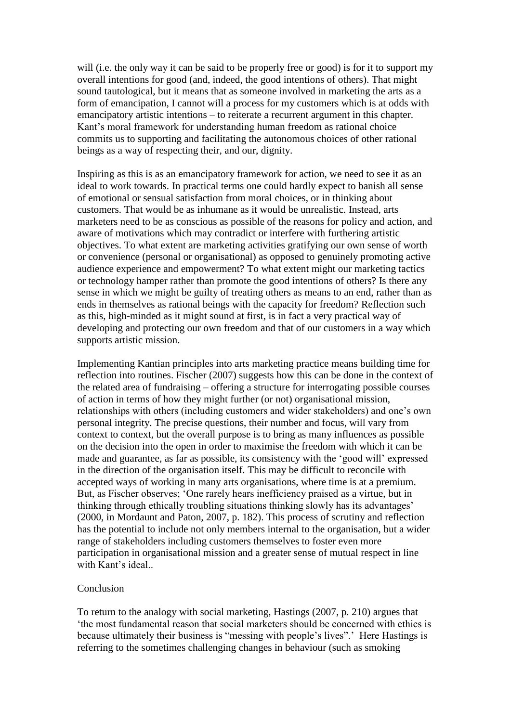will (i.e. the only way it can be said to be properly free or good) is for it to support my overall intentions for good (and, indeed, the good intentions of others). That might sound tautological, but it means that as someone involved in marketing the arts as a form of emancipation, I cannot will a process for my customers which is at odds with emancipatory artistic intentions – to reiterate a recurrent argument in this chapter. Kant's moral framework for understanding human freedom as rational choice commits us to supporting and facilitating the autonomous choices of other rational beings as a way of respecting their, and our, dignity.

Inspiring as this is as an emancipatory framework for action, we need to see it as an ideal to work towards. In practical terms one could hardly expect to banish all sense of emotional or sensual satisfaction from moral choices, or in thinking about customers. That would be as inhumane as it would be unrealistic. Instead, arts marketers need to be as conscious as possible of the reasons for policy and action, and aware of motivations which may contradict or interfere with furthering artistic objectives. To what extent are marketing activities gratifying our own sense of worth or convenience (personal or organisational) as opposed to genuinely promoting active audience experience and empowerment? To what extent might our marketing tactics or technology hamper rather than promote the good intentions of others? Is there any sense in which we might be guilty of treating others as means to an end, rather than as ends in themselves as rational beings with the capacity for freedom? Reflection such as this, high-minded as it might sound at first, is in fact a very practical way of developing and protecting our own freedom and that of our customers in a way which supports artistic mission.

Implementing Kantian principles into arts marketing practice means building time for reflection into routines. Fischer (2007) suggests how this can be done in the context of the related area of fundraising – offering a structure for interrogating possible courses of action in terms of how they might further (or not) organisational mission, relationships with others (including customers and wider stakeholders) and one's own personal integrity. The precise questions, their number and focus, will vary from context to context, but the overall purpose is to bring as many influences as possible on the decision into the open in order to maximise the freedom with which it can be made and guarantee, as far as possible, its consistency with the 'good will' expressed in the direction of the organisation itself. This may be difficult to reconcile with accepted ways of working in many arts organisations, where time is at a premium. But, as Fischer observes; 'One rarely hears inefficiency praised as a virtue, but in thinking through ethically troubling situations thinking slowly has its advantages' (2000, in Mordaunt and Paton, 2007, p. 182). This process of scrutiny and reflection has the potential to include not only members internal to the organisation, but a wider range of stakeholders including customers themselves to foster even more participation in organisational mission and a greater sense of mutual respect in line with Kant's ideal..

#### Conclusion

To return to the analogy with social marketing, Hastings (2007, p. 210) argues that 'the most fundamental reason that social marketers should be concerned with ethics is because ultimately their business is "messing with people's lives".' Here Hastings is referring to the sometimes challenging changes in behaviour (such as smoking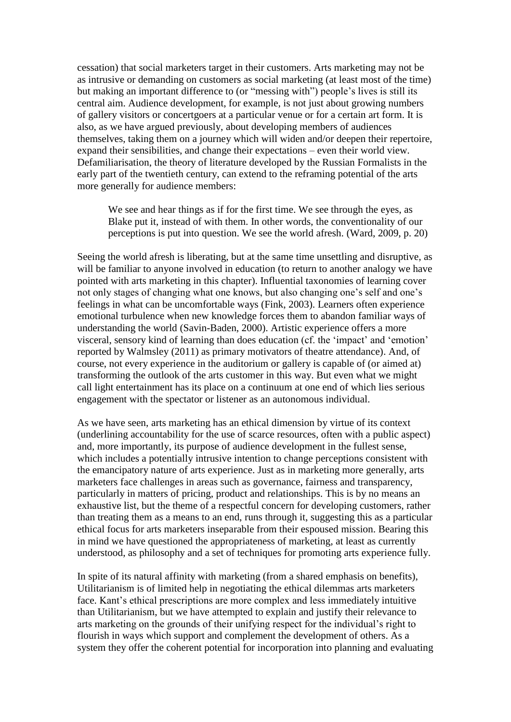cessation) that social marketers target in their customers. Arts marketing may not be as intrusive or demanding on customers as social marketing (at least most of the time) but making an important difference to (or "messing with") people's lives is still its central aim. Audience development, for example, is not just about growing numbers of gallery visitors or concertgoers at a particular venue or for a certain art form. It is also, as we have argued previously, about developing members of audiences themselves, taking them on a journey which will widen and/or deepen their repertoire, expand their sensibilities, and change their expectations – even their world view. Defamiliarisation, the theory of literature developed by the Russian Formalists in the early part of the twentieth century, can extend to the reframing potential of the arts more generally for audience members:

We see and hear things as if for the first time. We see through the eyes, as Blake put it, instead of with them. In other words, the conventionality of our perceptions is put into question. We see the world afresh. (Ward, 2009, p. 20)

Seeing the world afresh is liberating, but at the same time unsettling and disruptive, as will be familiar to anyone involved in education (to return to another analogy we have pointed with arts marketing in this chapter). Influential taxonomies of learning cover not only stages of changing what one knows, but also changing one's self and one's feelings in what can be uncomfortable ways (Fink, 2003). Learners often experience emotional turbulence when new knowledge forces them to abandon familiar ways of understanding the world (Savin-Baden, 2000). Artistic experience offers a more visceral, sensory kind of learning than does education (cf. the 'impact' and 'emotion' reported by Walmsley (2011) as primary motivators of theatre attendance). And, of course, not every experience in the auditorium or gallery is capable of (or aimed at) transforming the outlook of the arts customer in this way. But even what we might call light entertainment has its place on a continuum at one end of which lies serious engagement with the spectator or listener as an autonomous individual.

As we have seen, arts marketing has an ethical dimension by virtue of its context (underlining accountability for the use of scarce resources, often with a public aspect) and, more importantly, its purpose of audience development in the fullest sense, which includes a potentially intrusive intention to change perceptions consistent with the emancipatory nature of arts experience. Just as in marketing more generally, arts marketers face challenges in areas such as governance, fairness and transparency, particularly in matters of pricing, product and relationships. This is by no means an exhaustive list, but the theme of a respectful concern for developing customers, rather than treating them as a means to an end, runs through it, suggesting this as a particular ethical focus for arts marketers inseparable from their espoused mission. Bearing this in mind we have questioned the appropriateness of marketing, at least as currently understood, as philosophy and a set of techniques for promoting arts experience fully.

In spite of its natural affinity with marketing (from a shared emphasis on benefits), Utilitarianism is of limited help in negotiating the ethical dilemmas arts marketers face. Kant's ethical prescriptions are more complex and less immediately intuitive than Utilitarianism, but we have attempted to explain and justify their relevance to arts marketing on the grounds of their unifying respect for the individual's right to flourish in ways which support and complement the development of others. As a system they offer the coherent potential for incorporation into planning and evaluating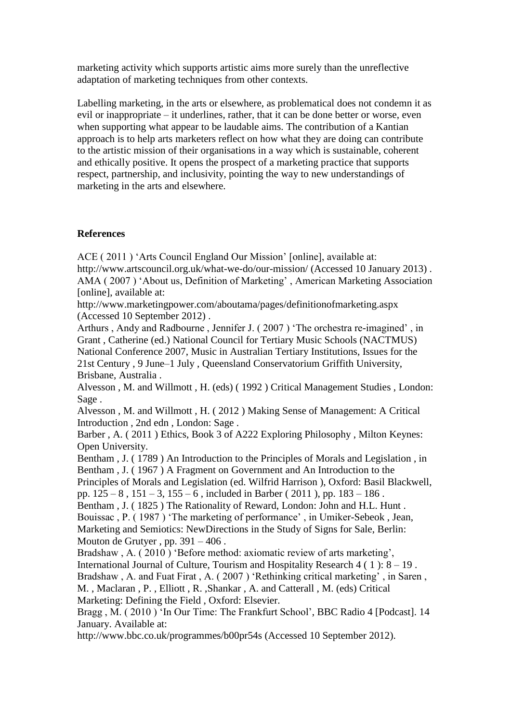marketing activity which supports artistic aims more surely than the unreflective adaptation of marketing techniques from other contexts.

Labelling marketing, in the arts or elsewhere, as problematical does not condemn it as evil or inappropriate – it underlines, rather, that it can be done better or worse, even when supporting what appear to be laudable aims. The contribution of a Kantian approach is to help arts marketers reflect on how what they are doing can contribute to the artistic mission of their organisations in a way which is sustainable, coherent and ethically positive. It opens the prospect of a marketing practice that supports respect, partnership, and inclusivity, pointing the way to new understandings of marketing in the arts and elsewhere.

#### **References**

ACE ( 2011 ) 'Arts Council England Our Mission' [online], available at: http://www.artscouncil.org.uk/what-we-do/our-mission/ (Accessed 10 January 2013) . AMA ( 2007 ) 'About us, Definition of Marketing' , American Marketing Association [online], available at:

http://www.marketingpower.com/aboutama/pages/definitionofmarketing.aspx (Accessed 10 September 2012) .

Arthurs , Andy and Radbourne , Jennifer J. ( 2007 ) 'The orchestra re-imagined' , in Grant , Catherine (ed.) National Council for Tertiary Music Schools (NACTMUS) National Conference 2007, Music in Australian Tertiary Institutions, Issues for the 21st Century , 9 June–1 July , Queensland Conservatorium Griffith University, Brisbane, Australia .

Alvesson , M. and Willmott , H. (eds) ( 1992 ) Critical Management Studies , London: Sage .

Alvesson , M. and Willmott , H. ( 2012 ) Making Sense of Management: A Critical Introduction , 2nd edn , London: Sage .

Barber , A. ( 2011 ) Ethics, Book 3 of A222 Exploring Philosophy , Milton Keynes: Open University.

Bentham , J. ( 1789 ) An Introduction to the Principles of Morals and Legislation , in Bentham , J. ( 1967 ) A Fragment on Government and An Introduction to the

Principles of Morals and Legislation (ed. Wilfrid Harrison ), Oxford: Basil Blackwell,

pp. 125 – 8 , 151 – 3, 155 – 6 , included in Barber ( 2011 ), pp. 183 – 186 .

Bentham , J. ( 1825 ) The Rationality of Reward, London: John and H.L. Hunt . Bouissac , P. ( 1987 ) 'The marketing of performance' , in Umiker-Sebeok , Jean, Marketing and Semiotics: NewDirections in the Study of Signs for Sale, Berlin: Mouton de Grutyer , pp. 391 – 406 .

Bradshaw , A. ( 2010 ) 'Before method: axiomatic review of arts marketing', International Journal of Culture, Tourism and Hospitality Research 4 ( 1 ): 8 – 19 . Bradshaw, A. and Fuat Firat, A. (2007) 'Rethinking critical marketing', in Saren, M. , Maclaran , P. , Elliott , R. ,Shankar , A. and Catterall , M. (eds) Critical Marketing: Defining the Field , Oxford: Elsevier.

Bragg , M. ( 2010 ) 'In Our Time: The Frankfurt School', BBC Radio 4 [Podcast]. 14 January. Available at:

http://www.bbc.co.uk/programmes/b00pr54s (Accessed 10 September 2012).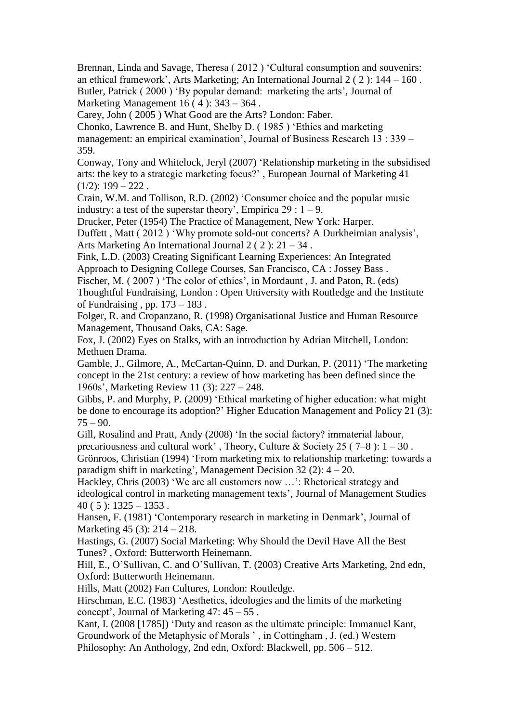Brennan, Linda and Savage, Theresa ( 2012 ) 'Cultural consumption and souvenirs: an ethical framework', Arts Marketing; An International Journal 2 ( 2 ): 144 – 160 . Butler, Patrick ( 2000 ) 'By popular demand: marketing the arts', Journal of Marketing Management 16 ( 4 ): 343 – 364 .

Carey, John ( 2005 ) What Good are the Arts? London: Faber.

Chonko, Lawrence B. and Hunt, Shelby D. ( 1985 ) 'Ethics and marketing management: an empirical examination', Journal of Business Research 13 : 339 – 359.

Conway, Tony and Whitelock, Jeryl (2007) 'Relationship marketing in the subsidised arts: the key to a strategic marketing focus?' , European Journal of Marketing 41  $(1/2): 199 - 222$ .

Crain, W.M. and Tollison, R.D. (2002) 'Consumer choice and the popular music industry: a test of the superstar theory', Empirica  $29:1-9$ .

Drucker, Peter (1954) The Practice of Management, New York: Harper.

Duffett , Matt ( 2012 ) 'Why promote sold-out concerts? A Durkheimian analysis', Arts Marketing An International Journal 2 ( 2 ): 21 – 34 .

Fink, L.D. (2003) Creating Significant Learning Experiences: An Integrated Approach to Designing College Courses, San Francisco, CA : Jossey Bass .

Fischer, M. (2007) 'The color of ethics', in Mordaunt, J. and Paton, R. (eds) Thoughtful Fundraising, London : Open University with Routledge and the Institute of Fundraising , pp.  $173 - 183$ .

Folger, R. and Cropanzano, R. (1998) Organisational Justice and Human Resource Management, Thousand Oaks, CA: Sage.

Fox, J. (2002) Eyes on Stalks, with an introduction by Adrian Mitchell, London: Methuen Drama.

Gamble, J., Gilmore, A., McCartan-Quinn, D. and Durkan, P. (2011) 'The marketing concept in the 21st century: a review of how marketing has been defined since the 1960s', Marketing Review 11 (3): 227 – 248.

Gibbs, P. and Murphy, P. (2009) 'Ethical marketing of higher education: what might be done to encourage its adoption?' Higher Education Management and Policy 21 (3):  $75 - 90.$ 

Gill, Rosalind and Pratt, Andy (2008) 'In the social factory? immaterial labour, precariousness and cultural work', Theory, Culture & Society 25 ( $7-8$ ):  $1-30$ . Grönroos, Christian (1994) 'From marketing mix to relationship marketing: towards a paradigm shift in marketing', Management Decision 32 (2): 4 – 20.

Hackley, Chris (2003) 'We are all customers now …': Rhetorical strategy and ideological control in marketing management texts', Journal of Management Studies  $40(5)$ : 1325 – 1353.

Hansen, F. (1981) 'Contemporary research in marketing in Denmark', Journal of Marketing 45 (3): 214 – 218.

Hastings, G. (2007) Social Marketing: Why Should the Devil Have All the Best Tunes? , Oxford: Butterworth Heinemann.

Hill, E., O'Sullivan, C. and O'Sullivan, T. (2003) Creative Arts Marketing, 2nd edn, Oxford: Butterworth Heinemann.

Hills, Matt (2002) Fan Cultures, London: Routledge.

Hirschman, E.C. (1983) 'Aesthetics, ideologies and the limits of the marketing concept', Journal of Marketing 47: 45 – 55 .

Kant, I. (2008 [1785]) 'Duty and reason as the ultimate principle: Immanuel Kant, Groundwork of the Metaphysic of Morals ' , in Cottingham , J. (ed.) Western Philosophy: An Anthology, 2nd edn, Oxford: Blackwell, pp. 506 – 512.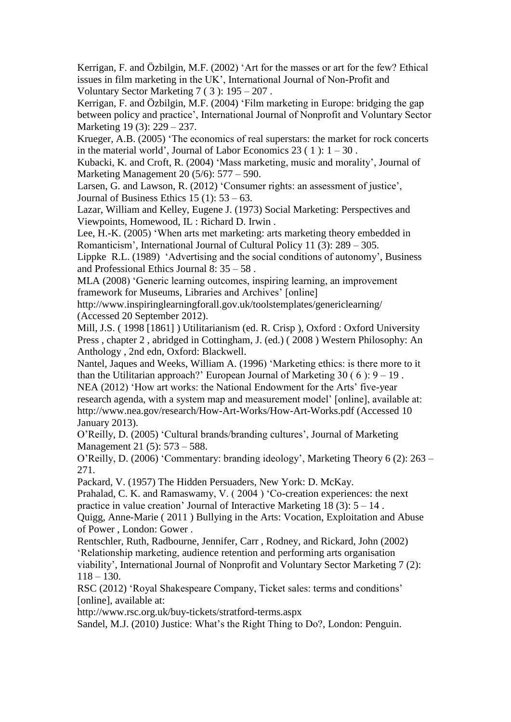Kerrigan, F. and Özbilgin, M.F. (2002) 'Art for the masses or art for the few? Ethical issues in film marketing in the UK', International Journal of Non-Profit and Voluntary Sector Marketing 7 ( 3 ): 195 – 207 .

Kerrigan, F. and Özbilgin, M.F. (2004) 'Film marketing in Europe: bridging the gap between policy and practice', International Journal of Nonprofit and Voluntary Sector Marketing 19 (3): 229 – 237.

Krueger, A.B. (2005) 'The economics of real superstars: the market for rock concerts in the material world', Journal of Labor Economics 23 (1):  $1 - 30$ .

Kubacki, K. and Croft, R. (2004) 'Mass marketing, music and morality', Journal of Marketing Management 20 (5/6): 577 – 590.

Larsen, G. and Lawson, R. (2012) 'Consumer rights: an assessment of justice', Journal of Business Ethics  $15$  (1):  $53 - 63$ .

Lazar, William and Kelley, Eugene J. (1973) Social Marketing: Perspectives and Viewpoints, Homewood, IL : Richard D. Irwin .

Lee, H.-K. (2005) 'When arts met marketing: arts marketing theory embedded in Romanticism', International Journal of Cultural Policy 11 (3): 289 – 305.

Lippke R.L. (1989) 'Advertising and the social conditions of autonomy', Business and Professional Ethics Journal 8: 35 – 58 .

MLA (2008) 'Generic learning outcomes, inspiring learning, an improvement framework for Museums, Libraries and Archives' [online]

http://www.inspiringlearningforall.gov.uk/toolstemplates/genericlearning/ (Accessed 20 September 2012).

Mill, J.S. ( 1998 [1861] ) Utilitarianism (ed. R. Crisp ), Oxford : Oxford University Press , chapter 2 , abridged in Cottingham, J. (ed.) ( 2008 ) Western Philosophy: An Anthology , 2nd edn, Oxford: Blackwell.

Nantel, Jaques and Weeks, William A. (1996) 'Marketing ethics: is there more to it than the Utilitarian approach?' European Journal of Marketing 30 (6):  $9 - 19$ . NEA (2012) 'How art works: the National Endowment for the Arts' five-year research agenda, with a system map and measurement model' [online], available at: http://www.nea.gov/research/How-Art-Works/How-Art-Works.pdf (Accessed 10 January 2013).

O'Reilly, D. (2005) 'Cultural brands/branding cultures', Journal of Marketing Management 21 (5): 573 – 588.

O'Reilly, D. (2006) 'Commentary: branding ideology', Marketing Theory 6 (2): 263 – 271.

Packard, V. (1957) The Hidden Persuaders, New York: D. McKay.

Prahalad, C. K. and Ramaswamy, V. ( 2004 ) 'Co-creation experiences: the next practice in value creation' Journal of Interactive Marketing  $18$  (3):  $5 - 14$ .

Quigg, Anne-Marie ( 2011 ) Bullying in the Arts: Vocation, Exploitation and Abuse of Power , London: Gower .

Rentschler, Ruth, Radbourne, Jennifer, Carr , Rodney, and Rickard, John (2002) 'Relationship marketing, audience retention and performing arts organisation viability', International Journal of Nonprofit and Voluntary Sector Marketing 7 (2):  $118 - 130.$ 

RSC (2012) 'Royal Shakespeare Company, Ticket sales: terms and conditions' [online], available at:

http://www.rsc.org.uk/buy-tickets/stratford-terms.aspx

Sandel, M.J. (2010) Justice: What's the Right Thing to Do?, London: Penguin.